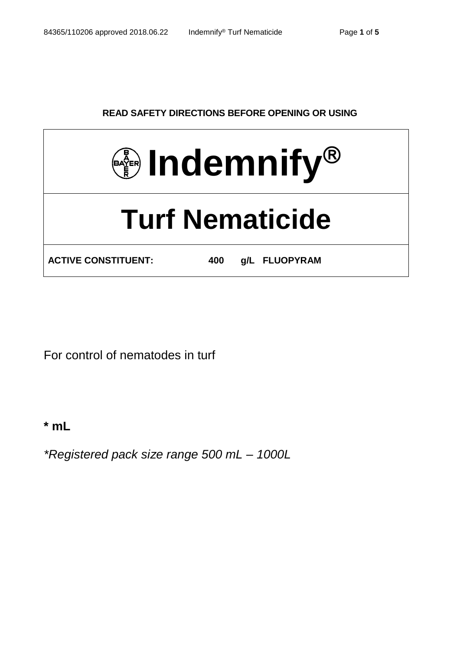# **READ SAFETY DIRECTIONS BEFORE OPENING OR USING**



For control of nematodes in turf

**\* mL**

*\*Registered pack size range 500 mL – 1000L*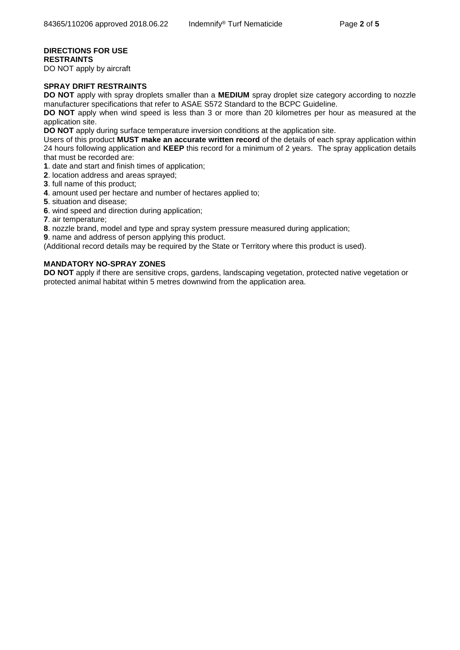# **DIRECTIONS FOR USE RESTRAINTS**

DO NOT apply by aircraft

## **SPRAY DRIFT RESTRAINTS**

**DO NOT** apply with spray droplets smaller than a **MEDIUM** spray droplet size category according to nozzle manufacturer specifications that refer to ASAE S572 Standard to the BCPC Guideline.

**DO NOT** apply when wind speed is less than 3 or more than 20 kilometres per hour as measured at the application site.

**DO NOT** apply during surface temperature inversion conditions at the application site.

Users of this product **MUST make an accurate written record** of the details of each spray application within 24 hours following application and **KEEP** this record for a minimum of 2 years. The spray application details that must be recorded are:

**1**. date and start and finish times of application;

- **2**. location address and areas sprayed;
- **3**. full name of this product;
- **4**. amount used per hectare and number of hectares applied to;
- **5**. situation and disease;
- **6**. wind speed and direction during application;
- **7**. air temperature;
- **8**. nozzle brand, model and type and spray system pressure measured during application;
- **9**. name and address of person applying this product.

(Additional record details may be required by the State or Territory where this product is used).

## **MANDATORY NO-SPRAY ZONES**

**DO NOT** apply if there are sensitive crops, gardens, landscaping vegetation, protected native vegetation or protected animal habitat within 5 metres downwind from the application area.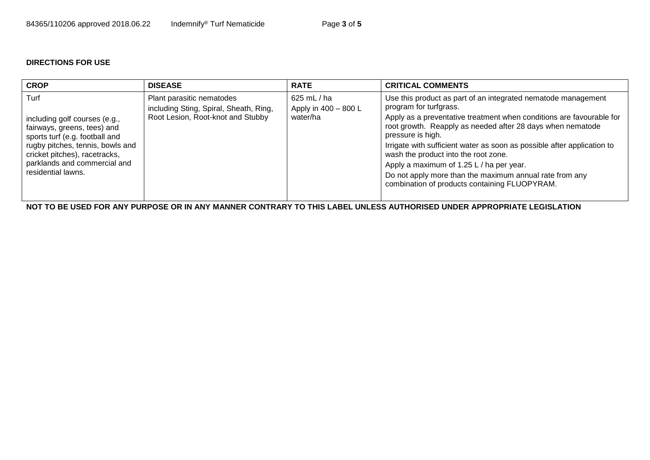# **DIRECTIONS FOR USE**

| <b>CROP</b>                                                                                                                                                                                                                       | <b>DISEASE</b>                                                                                           | <b>RATE</b>                                         | <b>CRITICAL COMMENTS</b>                                                                                                                                                                                                                                                                                                                                                                                                                                                                                                      |
|-----------------------------------------------------------------------------------------------------------------------------------------------------------------------------------------------------------------------------------|----------------------------------------------------------------------------------------------------------|-----------------------------------------------------|-------------------------------------------------------------------------------------------------------------------------------------------------------------------------------------------------------------------------------------------------------------------------------------------------------------------------------------------------------------------------------------------------------------------------------------------------------------------------------------------------------------------------------|
| Turf<br>including golf courses (e.g.,<br>fairways, greens, tees) and<br>sports turf (e.g. football and<br>rugby pitches, tennis, bowls and<br>cricket pitches), racetracks,<br>parklands and commercial and<br>residential lawns. | Plant parasitic nematodes<br>including Sting, Spiral, Sheath, Ring,<br>Root Lesion, Root-knot and Stubby | $625$ mL $/$ ha<br>Apply in 400 - 800 L<br>water/ha | Use this product as part of an integrated nematode management<br>program for turfgrass.<br>Apply as a preventative treatment when conditions are favourable for<br>root growth. Reapply as needed after 28 days when nematode<br>pressure is high.<br>Irrigate with sufficient water as soon as possible after application to<br>wash the product into the root zone.<br>Apply a maximum of 1.25 L / ha per year.<br>Do not apply more than the maximum annual rate from any<br>combination of products containing FLUOPYRAM. |

**NOT TO BE USED FOR ANY PURPOSE OR IN ANY MANNER CONTRARY TO THIS LABEL UNLESS AUTHORISED UNDER APPROPRIATE LEGISLATION**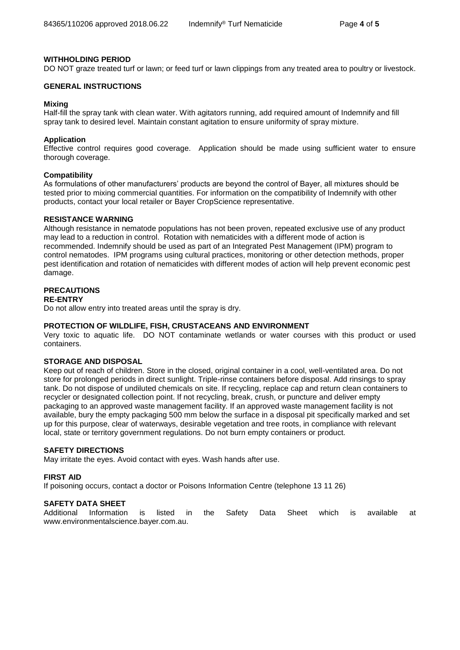#### **WITHHOLDING PERIOD**

DO NOT graze treated turf or lawn; or feed turf or lawn clippings from any treated area to poultry or livestock.

#### **GENERAL INSTRUCTIONS**

#### **Mixing**

Half-fill the spray tank with clean water. With agitators running, add required amount of Indemnify and fill spray tank to desired level. Maintain constant agitation to ensure uniformity of spray mixture.

#### **Application**

Effective control requires good coverage. Application should be made using sufficient water to ensure thorough coverage.

#### **Compatibility**

As formulations of other manufacturers' products are beyond the control of Bayer, all mixtures should be tested prior to mixing commercial quantities. For information on the compatibility of Indemnify with other products, contact your local retailer or Bayer CropScience representative.

#### **RESISTANCE WARNING**

Although resistance in nematode populations has not been proven, repeated exclusive use of any product may lead to a reduction in control. Rotation with nematicides with a different mode of action is recommended. Indemnify should be used as part of an Integrated Pest Management (IPM) program to control nematodes. IPM programs using cultural practices, monitoring or other detection methods, proper pest identification and rotation of nematicides with different modes of action will help prevent economic pest damage.

# **PRECAUTIONS**

#### **RE-ENTRY**

Do not allow entry into treated areas until the spray is dry.

#### **PROTECTION OF WILDLIFE, FISH, CRUSTACEANS AND ENVIRONMENT**

Very toxic to aquatic life. DO NOT contaminate wetlands or water courses with this product or used containers.

#### **STORAGE AND DISPOSAL**

Keep out of reach of children. Store in the closed, original container in a cool, well-ventilated area. Do not store for prolonged periods in direct sunlight. Triple-rinse containers before disposal. Add rinsings to spray tank. Do not dispose of undiluted chemicals on site. If recycling, replace cap and return clean containers to recycler or designated collection point. If not recycling, break, crush, or puncture and deliver empty packaging to an approved waste management facility. If an approved waste management facility is not available, bury the empty packaging 500 mm below the surface in a disposal pit specifically marked and set up for this purpose, clear of waterways, desirable vegetation and tree roots, in compliance with relevant local, state or territory government regulations. Do not burn empty containers or product.

#### **SAFETY DIRECTIONS**

May irritate the eyes. Avoid contact with eyes. Wash hands after use.

#### **FIRST AID**

If poisoning occurs, contact a doctor or Poisons Information Centre (telephone 13 11 26)

#### **SAFETY DATA SHEET**

Additional Information is listed in the Safety Data Sheet which is available at www.environmentalscience.bayer.com.au.